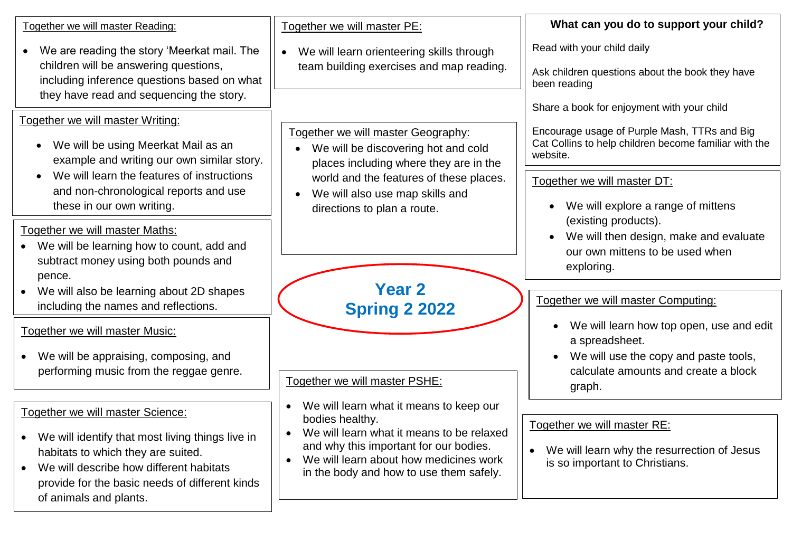| Together we will master Reading:                                                                                                                                                                                                                  | Together we will master PE:                                                                                                                                                                                                            | What can you do to support your child?                                                                                                                          |
|---------------------------------------------------------------------------------------------------------------------------------------------------------------------------------------------------------------------------------------------------|----------------------------------------------------------------------------------------------------------------------------------------------------------------------------------------------------------------------------------------|-----------------------------------------------------------------------------------------------------------------------------------------------------------------|
| We are reading the story 'Meerkat mail. The<br>children will be answering questions,<br>including inference questions based on what<br>they have read and sequencing the story.                                                                   | We will learn orienteering skills through<br>$\bullet$<br>team building exercises and map reading.                                                                                                                                     | Read with your child daily<br>Ask children questions about the book they have<br>been reading                                                                   |
| Together we will master Writing:<br>We will be using Meerkat Mail as an<br>example and writing our own similar story.                                                                                                                             | Together we will master Geography:<br>We will be discovering hot and cold<br>places including where they are in the                                                                                                                    | Share a book for enjoyment with your child<br>Encourage usage of Purple Mash, TTRs and Big<br>Cat Collins to help children become familiar with the<br>website. |
| We will learn the features of instructions<br>and non-chronological reports and use<br>these in our own writing.                                                                                                                                  | world and the features of these places.<br>We will also use map skills and<br>directions to plan a route.                                                                                                                              | Together we will master DT:<br>We will explore a range of mittens                                                                                               |
| Together we will master Maths:<br>We will be learning how to count, add and<br>subtract money using both pounds and<br>pence.                                                                                                                     |                                                                                                                                                                                                                                        | (existing products).<br>We will then design, make and evaluate<br>$\bullet$<br>our own mittens to be used when<br>exploring.                                    |
| We will also be learning about 2D shapes<br>$\bullet$<br>including the names and reflections.                                                                                                                                                     | <b>Year 2</b><br><b>Spring 2 2022</b>                                                                                                                                                                                                  | Together we will master Computing:                                                                                                                              |
| Together we will master Music:<br>We will be appraising, composing, and<br>performing music from the reggae genre.                                                                                                                                | Together we will master PSHE:                                                                                                                                                                                                          | We will learn how top open, use and edit<br>a spreadsheet.<br>We will use the copy and paste tools,<br>calculate amounts and create a block<br>graph.           |
| Together we will master Science:<br>We will identify that most living things live in<br>habitats to which they are suited.<br>We will describe how different habitats<br>provide for the basic needs of different kinds<br>of animals and plants. | We will learn what it means to keep our<br>bodies healthy.<br>We will learn what it means to be relaxed<br>and why this important for our bodies.<br>We will learn about how medicines work<br>in the body and how to use them safely. | Together we will master RE:<br>We will learn why the resurrection of Jesus<br>$\bullet$<br>is so important to Christians.                                       |